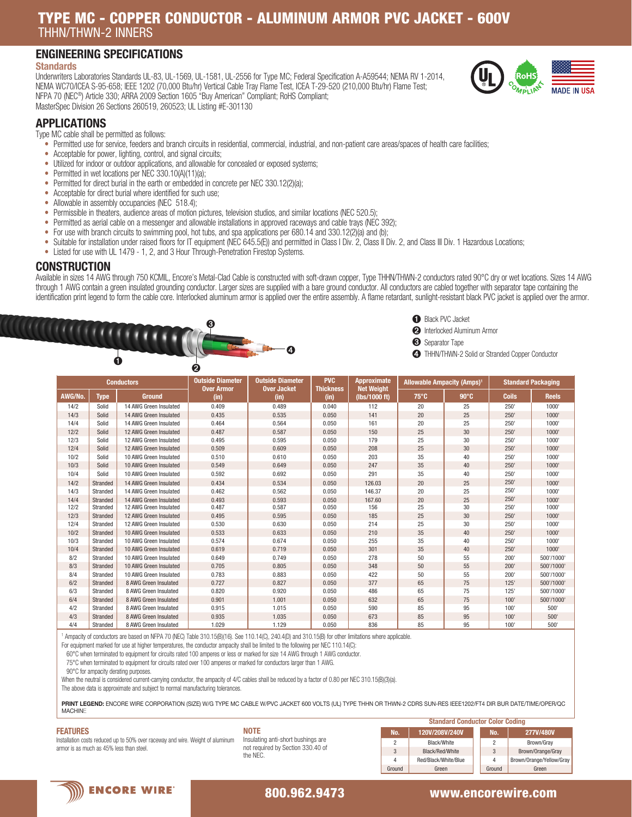# TYPE MC - COPPER CONDUCTOR - ALUMINUM ARMOR PVC JACKET - 600V THHN/THWN-2 INNERS

## ENGINEERING SPECIFICATIONS

#### **Standards**

Underwriters Laboratories Standards UL-83, UL-1569, UL-1581, UL-2556 for Type MC; Federal Specification A-A59544; NEMA RV 1-2014, NEMA WC70/ICEA S-95-658; IEEE 1202 (70,000 Btu/hr) Vertical Cable Tray Flame Test, ICEA T-29-520 (210,000 Btu/hr) Flame Test; NFPA 70 (NEC®) Article 330; ARRA 2009 Section 1605 "Buy American" Compliant; RoHS Compliant;



#### APPLICATIONS

Type MC cable shall be permitted as follows:

- Permitted use for service, feeders and branch circuits in residential, commercial, industrial, and non-patient care areas/spaces of health care facilities;
- Acceptable for power, lighting, control, and signal circuits;
- Utilized for indoor or outdoor applications, and allowable for concealed or exposed systems;
- Permitted in wet locations per NEC 330.10(A)(11)(a);
- Permitted for direct burial in the earth or embedded in concrete per NEC 330.12(2)(a);
- Acceptable for direct burial where identified for such use;
- Allowable in assembly occupancies (NEC 518.4);
- Permissible in theaters, audience areas of motion pictures, television studios, and similar locations (NEC 520.5)
- Permitted as aerial cable on a messenger and allowable installations in approved raceways and cable trays (NEC 392);
- For use with branch circuits to swimming pool, hot tubs, and spa applications per 680.14 and 330.12(2)(a) and (b);
- Suitable for installation under raised floors for IT equipment (NEC 645.5(E)) and permitted in Class I Div. 2, Class II Div. 2, and Class III Div. 1 Hazardous Locations;
- Listed for use with UL 1479 1, 2, and 3 Hour Through-Penetration Firestop Systems.

#### **CONSTRUCTION**

Available in sizes 14 AWG through 750 KCMIL, Encore's Metal-Clad Cable is constructed with soft-drawn copper, Type THHN/THWN-2 conductors rated 90°C dry or wet locations. Sizes 14 AWG through 1 AWG contain a green insulated grounding conductor. Larger sizes are supplied with a bare ground conductor. All conductors are cabled together with separator tape containing the identification print legend to form the cable core. Interlocked aluminum armor is applied over the entire assembly. A flame retardant, sunlight-resistant black PVC jacket is applied over the armor.





➋ Interlocked Aluminum Armor

➌ Separator Tape

➍ THHN/THWN-2 Solid or Stranded Copper Conductor

| <b>Conductors</b> |             | <b>Outside Diameter</b> | <b>PVC</b><br><b>Outside Diameter</b><br><b>Approximate</b><br><b>Net Weight</b><br><b>Over Armor</b><br><b>Over Jacket</b><br><b>Thickness</b> |       | <b>Allowable Ampacity (Amps)<sup>1</sup></b> |               | <b>Standard Packaging</b> |                 |              |              |
|-------------------|-------------|-------------------------|-------------------------------------------------------------------------------------------------------------------------------------------------|-------|----------------------------------------------|---------------|---------------------------|-----------------|--------------|--------------|
| AWG/No.           | <b>Type</b> | <b>Ground</b>           | (in)                                                                                                                                            | (in)  | (in)                                         | (lbs/1000 ft) | $75^{\circ}$ C            | $90^{\circ}$ C  | <b>Coils</b> | <b>Reels</b> |
| 14/2              | Solid       | 14 AWG Green Insulated  | 0.409                                                                                                                                           | 0.489 | 0.040                                        | 112           | 20                        | 25              | 250'         | 1000         |
| 14/3              | Solid       | 14 AWG Green Insulated  | 0.435                                                                                                                                           | 0.535 | 0.050                                        | 141           | 20                        | 25              | 250'         | 1000'        |
| 14/4              | Solid       | 14 AWG Green Insulated  | 0.464                                                                                                                                           | 0.564 | 0.050                                        | 161           | 20                        | 25              | 250'         | 1000         |
| 12/2              | Solid       | 12 AWG Green Insulated  | 0.487                                                                                                                                           | 0.587 | 0.050                                        | 150           | 25                        | 30              | 250'         | 1000'        |
| 12/3              | Solid       | 12 AWG Green Insulated  | 0.495                                                                                                                                           | 0.595 | 0.050                                        | 179           | 25                        | 30              | 250'         | 1000         |
| 12/4              | Solid       | 12 AWG Green Insulated  | 0.509                                                                                                                                           | 0.609 | 0.050                                        | 208           | 25                        | 30              | 250'         | 1000'        |
| 10/2              | Solid       | 10 AWG Green Insulated  | 0.510                                                                                                                                           | 0.610 | 0.050                                        | 203           | 35                        | 40              | 250'         | 1000         |
| 10/3              | Solid       | 10 AWG Green Insulated  | 0.549                                                                                                                                           | 0.649 | 0.050                                        | 247           | 35                        | 40              | 250'         | 1000         |
| 10/4              | Solid       | 10 AWG Green Insulated  | 0.592                                                                                                                                           | 0.692 | 0.050                                        | 291           | 35                        | 40              | 250'         | 1000         |
| 14/2              | Stranded    | 14 AWG Green Insulated  | 0.434                                                                                                                                           | 0.534 | 0.050                                        | 126.03        | 20                        | 25              | 250'         | 1000'        |
| 14/3              | Stranded    | 14 AWG Green Insulated  | 0.462                                                                                                                                           | 0.562 | 0.050                                        | 146.37        | 20                        | 25              | 250'         | 1000         |
| 14/4              | Stranded    | 14 AWG Green Insulated  | 0.493                                                                                                                                           | 0.593 | 0.050                                        | 167.60        | 20                        | 25              | 250'         | 1000'        |
| 12/2              | Stranded    | 12 AWG Green Insulated  | 0.487                                                                                                                                           | 0.587 | 0.050                                        | 156           | 25                        | 30              | 250'         | 1000         |
| 12/3              | Stranded    | 12 AWG Green Insulated  | 0.495                                                                                                                                           | 0.595 | 0.050                                        | 185           | 25                        | 30              | 250'         | 1000         |
| 12/4              | Stranded    | 12 AWG Green Insulated  | 0.530                                                                                                                                           | 0.630 | 0.050                                        | 214           | 25                        | 30              | 250'         | 1000         |
| 10/2              | Stranded    | 10 AWG Green Insulated  | 0.533                                                                                                                                           | 0.633 | 0.050                                        | 210           | 35                        | 40              | 250'         | 1000         |
| 10/3              | Stranded    | 10 AWG Green Insulated  | 0.574                                                                                                                                           | 0.674 | 0.050                                        | 255           | 35                        | 40              | 250'         | 1000         |
| 10/4              | Stranded    | 10 AWG Green Insulated  | 0.619                                                                                                                                           | 0.719 | 0.050                                        | 301           | 35                        | 40 <sup>2</sup> | 250'         | 1000         |
| 8/2               | Stranded    | 10 AWG Green Insulated  | 0.649                                                                                                                                           | 0.749 | 0.050                                        | 278           | 50                        | 55              | 200'         | 500'/1000'   |
| 8/3               | Stranded    | 10 AWG Green Insulated  | 0.705                                                                                                                                           | 0.805 | 0.050                                        | 348           | 50                        | 55              | 200'         | 500'/1000'   |
| 8/4               | Stranded    | 10 AWG Green Insulated  | 0.783                                                                                                                                           | 0.883 | 0.050                                        | 422           | 50                        | 55              | 200'         | 500'/1000'   |
| 6/2               | Stranded    | 8 AWG Green Insulated   | 0.727                                                                                                                                           | 0.827 | 0.050                                        | 377           | 65                        | 75              | 125'         | 500'/1000'   |
| 6/3               | Stranded    | 8 AWG Green Insulated   | 0.820                                                                                                                                           | 0.920 | 0.050                                        | 486           | 65                        | 75              | 125'         | 500'/1000'   |
| 6/4               | Stranded    | 8 AWG Green Insulated   | 0.901                                                                                                                                           | 1.001 | 0.050                                        | 632           | 65                        | 75              | 100'         | 500'/1000'   |
| 4/2               | Stranded    | 8 AWG Green Insulated   | 0.915                                                                                                                                           | 1.015 | 0.050                                        | 590           | 85                        | 95              | 100'         | 500'         |
| 4/3               | Stranded    | 8 AWG Green Insulated   | 0.935                                                                                                                                           | 1.035 | 0.050                                        | 673           | 85                        | 95              | 100'         | 500'         |
| 4/4               | Stranded    | 8 AWG Green Insulated   | 1.029                                                                                                                                           | 1.129 | 0.050                                        | 836           | 85                        | 95              | 100'         | 500          |

1 Ampacity of conductors are based on NFPA 70 (NEC) Table 310.15(B)(16). See 110.14(C), 240.4(D) and 310.15(B) for other limitations where applicable.

For equipment marked for use at higher temperatures, the conductor ampacity shall be limited to the following per NEC 110.14(C):

60°C when terminated to equipment for circuits rated 100 amperes or less or marked for size 14 AWG through 1 AWG conductor.

75°C when terminated to equipment for circuits rated over 100 amperes or marked for conductors larger than 1 AWG.

90°C for ampacity derating purposes.

When the neutral is considered current-carrying conductor, the ampacity of 4/C cables shall be reduced by a factor of 0.80 per NEC 310.15(B)(3)(a).

The above data is approximate and subject to normal manufacturing tolerances.

PRINT LEGEND: ENCORE WIRE CORPORATION (SIZE) W/G TYPE MC CABLE W/PVC JACKET 600 VOLTS (UL) TYPE THHN OR THWN-2 CDRS SUN-RES IEEE1202/FT4 DIR BUR DATE/TIME/OPER/QC **MACHINE** 

#### FEATURES



| NOTE                               |
|------------------------------------|
| Insulating anti-short bushings are |
| not required by Section 330.40 of  |
| the NEC.                           |

|        | <b>Standard Conductor Color Coding</b> |  |                |                          |  |  |  |  |
|--------|----------------------------------------|--|----------------|--------------------------|--|--|--|--|
| No.    | 120V/208V/240V                         |  | No.            | 277V/480V                |  |  |  |  |
| 2      | Black/White                            |  | $\overline{c}$ | Brown/Gray               |  |  |  |  |
| 3      | Black/Red/White                        |  | 3              | Brown/Orange/Gray        |  |  |  |  |
| 4      | Red/Black/White/Blue                   |  | 4              | Brown/Orange/Yellow/Gray |  |  |  |  |
| Ground | Green                                  |  | Ground         | Green                    |  |  |  |  |



#### 800.962.9473 www.encorewire.com